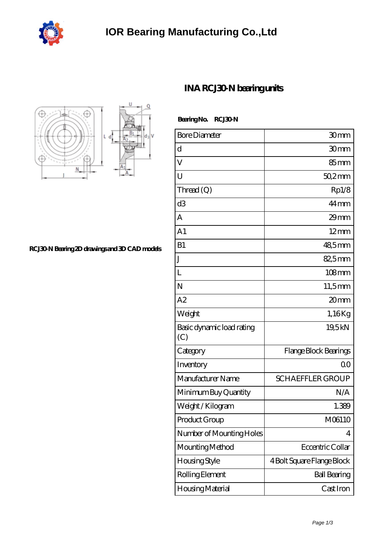



**[RCJ30-N Bearing 2D drawings and 3D CAD models](https://m.ptrjx.com/pic-87734.html)**

## **[INA RCJ30-N bearing units](https://m.ptrjx.com/aw-87734-ina-rcj30-n-bearing-units.html)**

 **Bearing No. RCJ30-N**

| <b>Bore Diameter</b>             | 30mm                       |
|----------------------------------|----------------------------|
| d                                | 30mm                       |
| V                                | $85 \text{mm}$             |
| U                                | $502$ mm                   |
| Thread $(Q)$                     | Rp1/8                      |
| d <sub>3</sub>                   | $44 \,\mathrm{mm}$         |
| A                                | $29$ mm                    |
| A <sub>1</sub>                   | $12 \text{mm}$             |
| B1                               | 48,5mm                     |
| J                                | 82,5mm                     |
| L                                | $108$ mm                   |
| N                                | 11,5mm                     |
| A2                               | 20mm                       |
| Weight                           | 1,16Kg                     |
| Basic dynamic load rating<br>(C) | 19,5kN                     |
| Category                         | Flange Block Bearings      |
| Inventory                        | 0 <sub>0</sub>             |
| Manufacturer Name                | <b>SCHAEFFLER GROUP</b>    |
| Minimum Buy Quantity             | N/A                        |
| Weight /Kilogram                 | 1.389                      |
| Product Group                    | M06110                     |
| Number of Mounting Holes         | 4                          |
| Mounting Method                  | Eccentric Collar           |
| Housing Style                    | 4 Bolt Square Flange Block |
| Rolling Element                  | <b>Ball Bearing</b>        |
| Housing Material                 | Cast Iron                  |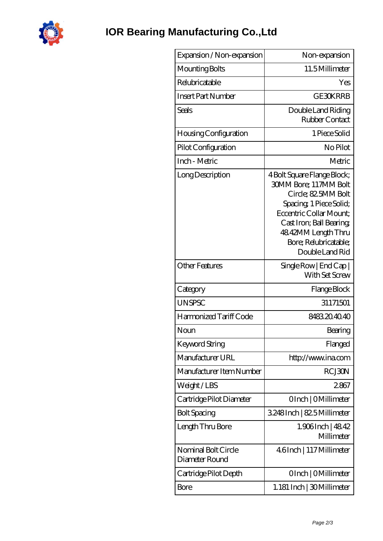

| Expansion / Non-expansion             | Non-expansion                                                                                                                                                                                                                           |
|---------------------------------------|-----------------------------------------------------------------------------------------------------------------------------------------------------------------------------------------------------------------------------------------|
| Mounting Bolts                        | 11.5Millimeter                                                                                                                                                                                                                          |
| Relubricatable                        | Yes                                                                                                                                                                                                                                     |
| <b>Insert Part Number</b>             | <b>GE30KRRB</b>                                                                                                                                                                                                                         |
| Seals                                 | Double Land Riding<br>Rubber Contact                                                                                                                                                                                                    |
| Housing Configuration                 | 1 Piece Solid                                                                                                                                                                                                                           |
| Pilot Configuration                   | No Pilot                                                                                                                                                                                                                                |
| Inch - Metric                         | Metric                                                                                                                                                                                                                                  |
| Long Description                      | 4 Bolt Square Flange Block;<br><b>30MM Bore; 117MM Bolt</b><br>Circle; 82.5MM Bolt<br>Spacing, 1 Piece Solid;<br>Eccentric Collar Mount:<br>Cast Iron; Ball Bearing;<br>48.42MM Length Thru<br>Bore; Relubricatable;<br>Double Land Rid |
| <b>Other Features</b>                 | Single Row   End Cap  <br>With Set Screw                                                                                                                                                                                                |
| Category                              | Flange Block                                                                                                                                                                                                                            |
| <b>UNSPSC</b>                         | 31171501                                                                                                                                                                                                                                |
| Harmonized Tariff Code                | 8483204040                                                                                                                                                                                                                              |
| Noun                                  | Bearing                                                                                                                                                                                                                                 |
| <b>Keyword String</b>                 | Flanged                                                                                                                                                                                                                                 |
| Manufacturer URL                      | http://www.ina.com                                                                                                                                                                                                                      |
| Manufacturer Item Number              | <b>RCJ30N</b>                                                                                                                                                                                                                           |
| Weight/LBS                            | 2867                                                                                                                                                                                                                                    |
| Cartridge Pilot Diameter              | OInch   OMillimeter                                                                                                                                                                                                                     |
| <b>Bolt Spacing</b>                   | 3248Inch   825 Millimeter                                                                                                                                                                                                               |
| Length Thru Bore                      | $1.906$ Inch   $4842$<br>Millimeter                                                                                                                                                                                                     |
| Nominal Bolt Circle<br>Diameter Round | 4.6Inch   117 Millimeter                                                                                                                                                                                                                |
| Cartridge Pilot Depth                 | OInch   OMillimeter                                                                                                                                                                                                                     |
| Bore                                  | 1.181 Inch   30 Millimeter                                                                                                                                                                                                              |